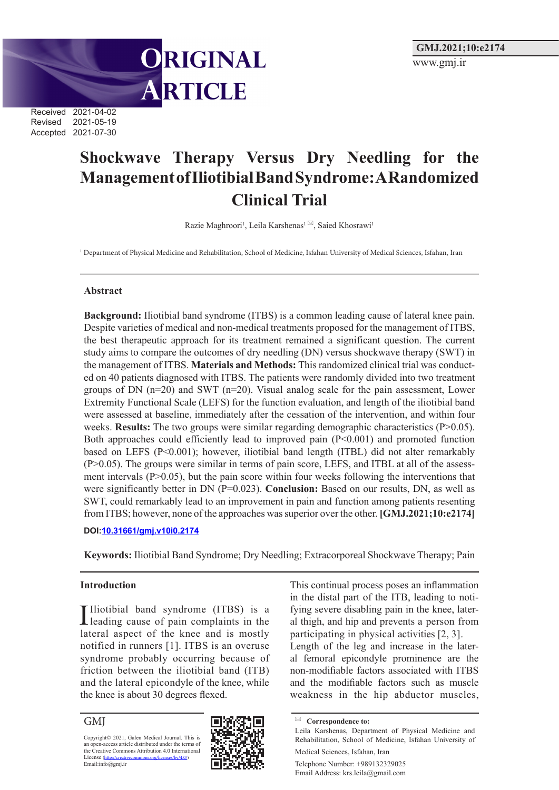Received 2021-04-02 Revised 2021-05-19 Accepted 2021-07-30

# **Shockwave Therapy Versus Dry Needling for the Management of Iliotibial Band Syndrome: A Randomized Clinical Trial**

ORIGINAL

ARTICLE

Razie Maghroori<sup>1</sup>, Leila Karshenas<sup>1 [23]</sup>, Saied Khosrawi<sup>1</sup>

<sup>1</sup> Department of Physical Medicine and Rehabilitation, School of Medicine, Isfahan University of Medical Sciences, Isfahan, Iran

#### **Abstract**

**Background:** Iliotibial band syndrome (ITBS) is a common leading cause of lateral knee pain. Despite varieties of medical and non-medical treatments proposed for the management of ITBS, the best therapeutic approach for its treatment remained a significant question. The current study aims to compare the outcomes of dry needling (DN) versus shockwave therapy (SWT) in the management of ITBS. **Materials and Methods:** This randomized clinical trial was conducted on 40 patients diagnosed with ITBS. The patients were randomly divided into two treatment groups of DN  $(n=20)$  and SWT  $(n=20)$ . Visual analog scale for the pain assessment, Lower Extremity Functional Scale (LEFS) for the function evaluation, and length of the iliotibial band were assessed at baseline, immediately after the cessation of the intervention, and within four weeks. **Results:** The two groups were similar regarding demographic characteristics (P>0.05). Both approaches could efficiently lead to improved pain (P<0.001) and promoted function based on LEFS (P<0.001); however, iliotibial band length (ITBL) did not alter remarkably (P>0.05). The groups were similar in terms of pain score, LEFS, and ITBL at all of the assessment intervals  $(P>0.05)$ , but the pain score within four weeks following the interventions that were significantly better in DN (P=0.023). **Conclusion:** Based on our results, DN, as well as SWT, could remarkably lead to an improvement in pain and function among patients resenting from ITBS; however, none of the approaches was superior over the other. **[GMJ.2021;10:e2174]** 

#### **DOI:10.31661/gmj.v10i0.2174**

**Keywords:** Iliotibial Band Syndrome; Dry Needling; Extracorporeal Shockwave Therapy; Pain

#### **Introduction**

Iliotibial band syndrome (ITBS) is a leading cause of pain complaints in the Illiotibial band syndrome (ITBS) is a lateral aspect of the knee and is mostly notified in runners [1]. ITBS is an overuse syndrome probably occurring because of friction between the iliotibial band (ITB) and the lateral epicondyle of the knee, while the knee is about 30 degrees flexed.

GMJ

Copyright© 2021, Galen Medical Journal. This is an open-access article distributed under the terms of the Creative Commons Attribution 4.0 International License (http://creativecommons.org/licenses/by/4.0/) Encilsc (mp//deal)



This continual process poses an inflammation in the distal part of the ITB, leading to notifying severe disabling pain in the knee, lateral thigh, and hip and prevents a person from participating in physical activities [2, 3]. Length of the leg and increase in the lateral femoral epicondyle prominence are the

non-modifiable factors associated with ITBS and the modifiable factors such as muscle weakness in the hip abductor muscles,

Telephone Number: +989132329025 Email Address: krs.leila@gmail.com

**Correspondence to:**

Leila Karshenas, Department of Physical Medicine and Rehabilitation, School of Medicine, Isfahan University of Medical Sciences, Isfahan, Iran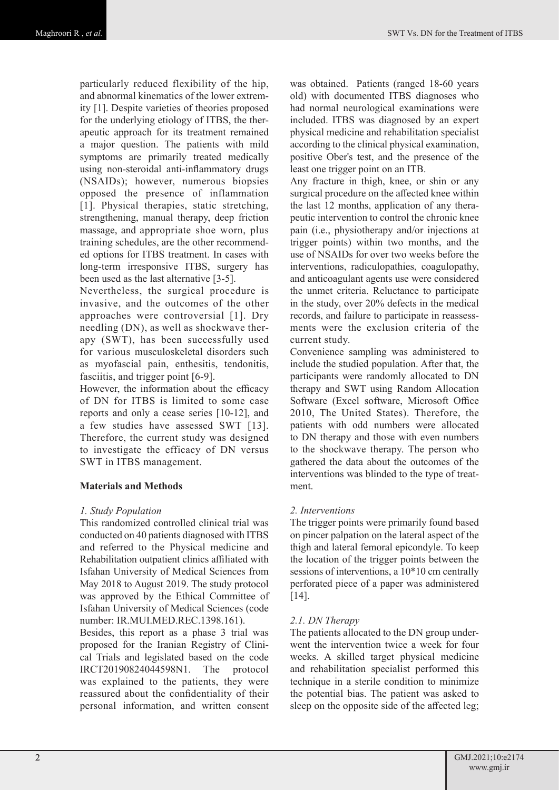particularly reduced flexibility of the hip, and abnormal kinematics of the lower extremity [1]. Despite varieties of theories proposed for the underlying etiology of ITBS, the therapeutic approach for its treatment remained a major question. The patients with mild symptoms are primarily treated medically using non-steroidal anti-inflammatory drugs (NSAIDs); however, numerous biopsies opposed the presence of inflammation [1]. Physical therapies, static stretching, strengthening, manual therapy, deep friction massage, and appropriate shoe worn, plus training schedules, are the other recommended options for ITBS treatment. In cases with long-term irresponsive ITBS, surgery has been used as the last alternative [3-5].

Nevertheless, the surgical procedure is invasive, and the outcomes of the other approaches were controversial [1]. Dry needling (DN), as well as shockwave therapy (SWT), has been successfully used for various musculoskeletal disorders such as myofascial pain, enthesitis, tendonitis, fasciitis, and trigger point [6-9].

However, the information about the efficacy of DN for ITBS is limited to some case reports and only a cease series [10-12], and a few studies have assessed SWT [13]. Therefore, the current study was designed to investigate the efficacy of DN versus SWT in ITBS management.

## **Materials and Methods**

#### *1. Study Population*

This randomized controlled clinical trial was conducted on 40 patients diagnosed with ITBS and referred to the Physical medicine and Rehabilitation outpatient clinics affiliated with Isfahan University of Medical Sciences from May 2018 to August 2019. The study protocol was approved by the Ethical Committee of Isfahan University of Medical Sciences (code number: IR.MUI.MED.REC.1398.161).

Besides, this report as a phase 3 trial was proposed for the Iranian Registry of Clinical Trials and legislated based on the code IRCT20190824044598N1. The protocol was explained to the patients, they were reassured about the confidentiality of their personal information, and written consent was obtained. Patients (ranged 18-60 years old) with documented ITBS diagnoses who had normal neurological examinations were included. ITBS was diagnosed by an expert physical medicine and rehabilitation specialist according to the clinical physical examination, positive Ober's test, and the presence of the least one trigger point on an ITB.

Any fracture in thigh, knee, or shin or any surgical procedure on the affected knee within the last 12 months, application of any therapeutic intervention to control the chronic knee pain (i.e., physiotherapy and/or injections at trigger points) within two months, and the use of NSAIDs for over two weeks before the interventions, radiculopathies, coagulopathy, and anticoagulant agents use were considered the unmet criteria. Reluctance to participate in the study, over 20% defects in the medical records, and failure to participate in reassessments were the exclusion criteria of the current study.

Convenience sampling was administered to include the studied population. After that, the participants were randomly allocated to DN therapy and SWT using Random Allocation Software (Excel software, Microsoft Office 2010, The United States). Therefore, the patients with odd numbers were allocated to DN therapy and those with even numbers to the shockwave therapy. The person who gathered the data about the outcomes of the interventions was blinded to the type of treatment.

## *2. Interventions*

The trigger points were primarily found based on pincer palpation on the lateral aspect of the thigh and lateral femoral epicondyle. To keep the location of the trigger points between the sessions of interventions, a 10\*10 cm centrally perforated piece of a paper was administered [14].

## *2.1. DN Therapy*

The patients allocated to the DN group underwent the intervention twice a week for four weeks. A skilled target physical medicine and rehabilitation specialist performed this technique in a sterile condition to minimize the potential bias. The patient was asked to sleep on the opposite side of the affected leg;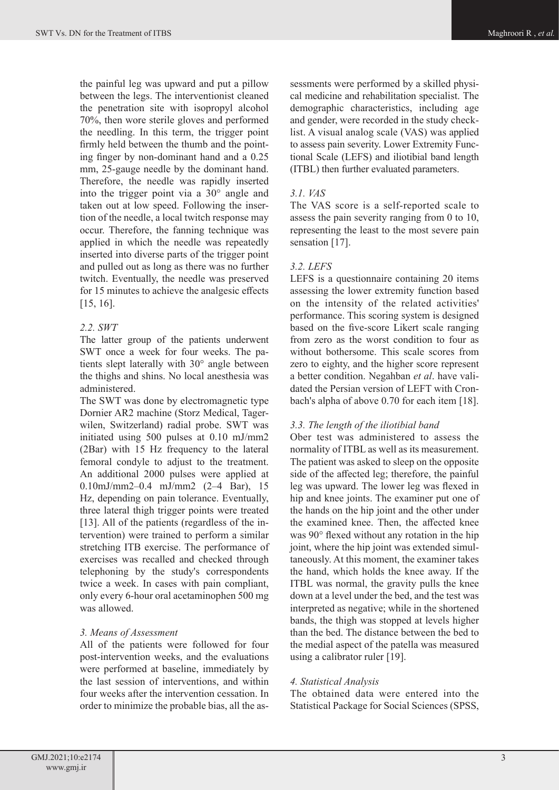the painful leg was upward and put a pillow between the legs. The interventionist cleaned the penetration site with isopropyl alcohol 70%, then wore sterile gloves and performed the needling. In this term, the trigger point firmly held between the thumb and the pointing finger by non-dominant hand and a 0.25 mm, 25-gauge needle by the dominant hand. Therefore, the needle was rapidly inserted into the trigger point via a 30° angle and taken out at low speed. Following the insertion of the needle, a local twitch response may occur. Therefore, the fanning technique was applied in which the needle was repeatedly inserted into diverse parts of the trigger point and pulled out as long as there was no further twitch. Eventually, the needle was preserved for 15 minutes to achieve the analgesic effects [15, 16].

# *2.2. SWT*

The latter group of the patients underwent SWT once a week for four weeks. The patients slept laterally with 30° angle between the thighs and shins. No local anesthesia was administered.

The SWT was done by electromagnetic type Dornier AR2 machine (Storz Medical, Tagerwilen, Switzerland) radial probe. SWT was initiated using 500 pulses at 0.10 mJ/mm2 (2Bar) with 15 Hz frequency to the lateral femoral condyle to adjust to the treatment. An additional 2000 pulses were applied at 0.10mJ/mm2–0.4 mJ/mm2 (2–4 Bar), 15 Hz, depending on pain tolerance. Eventually, three lateral thigh trigger points were treated [13]. All of the patients (regardless of the intervention) were trained to perform a similar stretching ITB exercise. The performance of exercises was recalled and checked through telephoning by the study's correspondents twice a week. In cases with pain compliant, only every 6-hour oral acetaminophen 500 mg was allowed.

## *3. Means of Assessment*

All of the patients were followed for four post-intervention weeks, and the evaluations were performed at baseline, immediately by the last session of interventions, and within four weeks after the intervention cessation. In order to minimize the probable bias, all the assessments were performed by a skilled physical medicine and rehabilitation specialist. The demographic characteristics, including age and gender, were recorded in the study checklist. A visual analog scale (VAS) was applied to assess pain severity. Lower Extremity Functional Scale (LEFS) and iliotibial band length (ITBL) then further evaluated parameters.

# *3.1. VAS*

The VAS score is a self-reported scale to assess the pain severity ranging from 0 to 10, representing the least to the most severe pain sensation [17].

# *3.2. LEFS*

LEFS is a questionnaire containing 20 items assessing the lower extremity function based on the intensity of the related activities' performance. This scoring system is designed based on the five-score Likert scale ranging from zero as the worst condition to four as without bothersome. This scale scores from zero to eighty, and the higher score represent a better condition. Negahban *et al*. have validated the Persian version of LEFT with Cronbach's alpha of above 0.70 for each item [18].

# *3.3. The length of the iliotibial band*

Ober test was administered to assess the normality of ITBL as well as its measurement. The patient was asked to sleep on the opposite side of the affected leg; therefore, the painful leg was upward. The lower leg was flexed in hip and knee joints. The examiner put one of the hands on the hip joint and the other under the examined knee. Then, the affected knee was 90° flexed without any rotation in the hip joint, where the hip joint was extended simultaneously. At this moment, the examiner takes the hand, which holds the knee away. If the ITBL was normal, the gravity pulls the knee down at a level under the bed, and the test was interpreted as negative; while in the shortened bands, the thigh was stopped at levels higher than the bed. The distance between the bed to the medial aspect of the patella was measured using a calibrator ruler [19].

## *4. Statistical Analysis*

The obtained data were entered into the Statistical Package for Social Sciences (SPSS,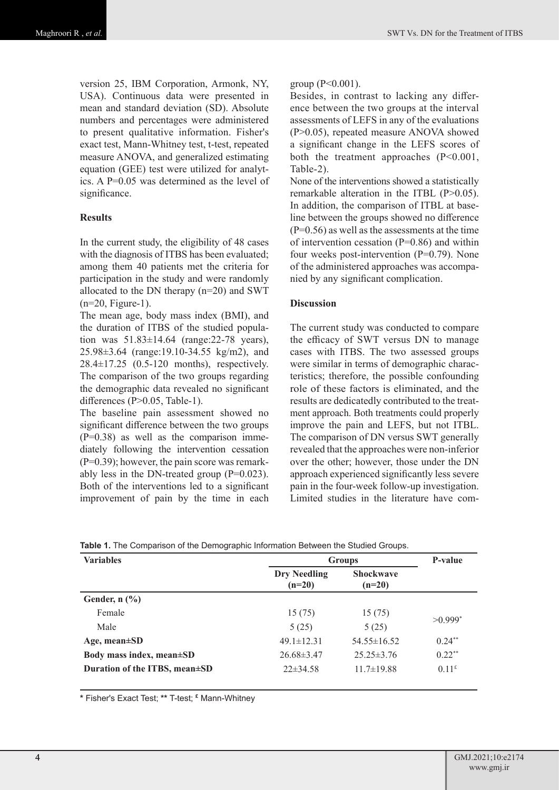version 25, IBM Corporation, Armonk, NY, USA). Continuous data were presented in mean and standard deviation (SD). Absolute numbers and percentages were administered to present qualitative information. Fisher's exact test, Mann-Whitney test, t-test, repeated measure ANOVA, and generalized estimating equation (GEE) test were utilized for analytics. A P=0.05 was determined as the level of significance.

#### **Results**

In the current study, the eligibility of 48 cases with the diagnosis of ITBS has been evaluated; among them 40 patients met the criteria for participation in the study and were randomly allocated to the DN therapy (n=20) and SWT  $(n=20,$  Figure-1).

The mean age, body mass index (BMI), and the duration of ITBS of the studied population was  $51.83 \pm 14.64$  (range: 22-78 years), 25.98±3.64 (range:19.10-34.55 kg/m2), and 28.4±17.25 (0.5-120 months), respectively. The comparison of the two groups regarding the demographic data revealed no significant differences (P>0.05, Table-1).

The baseline pain assessment showed no significant difference between the two groups  $(P=0.38)$  as well as the comparison immediately following the intervention cessation (P=0.39); however, the pain score was remarkably less in the DN-treated group  $(P=0.023)$ . Both of the interventions led to a significant improvement of pain by the time in each group  $(P<0.001)$ .

Besides, in contrast to lacking any difference between the two groups at the interval assessments of LEFS in any of the evaluations (P>0.05), repeated measure ANOVA showed a significant change in the LEFS scores of both the treatment approaches (P<0.001, Table-2).

None of the interventions showed a statistically remarkable alteration in the ITBL (P>0.05). In addition, the comparison of ITBL at baseline between the groups showed no difference  $(P=0.56)$  as well as the assessments at the time of intervention cessation  $(P=0.86)$  and within four weeks post-intervention (P=0.79). None of the administered approaches was accompanied by any significant complication.

#### **Discussion**

The current study was conducted to compare the efficacy of SWT versus DN to manage cases with ITBS. The two assessed groups were similar in terms of demographic characteristics; therefore, the possible confounding role of these factors is eliminated, and the results are dedicatedly contributed to the treatment approach. Both treatments could properly improve the pain and LEFS, but not ITBL. The comparison of DN versus SWT generally revealed that the approaches were non-inferior over the other; however, those under the DN approach experienced significantly less severe pain in the four-week follow-up investigation. Limited studies in the literature have com-

| <b>Variables</b>                    | <b>Groups</b>                   |                              | P-value               |
|-------------------------------------|---------------------------------|------------------------------|-----------------------|
|                                     | <b>Dry Needling</b><br>$(n=20)$ | <b>Shockwave</b><br>$(n=20)$ |                       |
| Gender, $n$ $(\%)$                  |                                 |                              |                       |
| Female                              | 15(75)                          | 15(75)                       | $>0.999$ <sup>*</sup> |
| Male                                | 5(25)                           | 5(25)                        |                       |
| Age, mean $\pm SD$                  | $49.1 \pm 12.31$                | $54.55\pm16.52$              | $0.24***$             |
| Body mass index, mean $\pm SD$      | $26.68\pm3.47$                  | $25.25 \pm 3.76$             | $0.22**$              |
| Duration of the ITBS, mean $\pm$ SD | $22\pm34.58$                    | $11.7 \pm 19.88$             | 0.11 <sup>£</sup>     |

**Table 1.** The Comparison of the Demographic Information Between the Studied Groups.

**\*** Fisher's Exact Test; **\*\*** T-test; **£** Mann-Whitney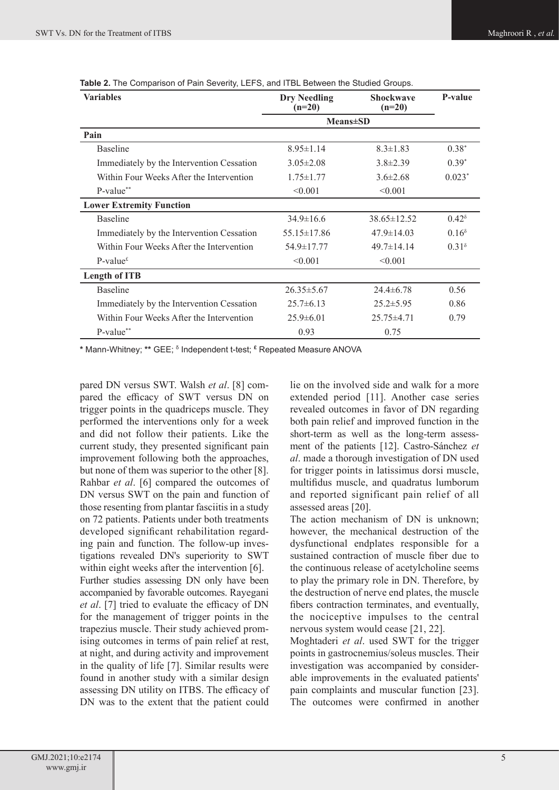| Variables                                 | Dry Needling<br>$(n=20)$ | <b>Shockwave</b><br>$(n=20)$ | P-value           |
|-------------------------------------------|--------------------------|------------------------------|-------------------|
|                                           | <b>Means</b> \times\spn  |                              |                   |
| Pain                                      |                          |                              |                   |
| <b>Baseline</b>                           | $8.95 \pm 1.14$          | $8.3 \pm 1.83$               | $0.38^*$          |
| Immediately by the Intervention Cessation | $3.05 \pm 2.08$          | $3.8 \pm 2.39$               | $0.39^*$          |
| Within Four Weeks After the Intervention  | $1.75 \pm 1.77$          | $3.6 \pm 2.68$               | $0.023*$          |
| P-value**                                 | < 0.001                  | < 0.001                      |                   |
| <b>Lower Extremity Function</b>           |                          |                              |                   |
| <b>Baseline</b>                           | $34.9 \pm 16.6$          | $38.65 \pm 12.52$            | $0.42^{\delta}$   |
| Immediately by the Intervention Cessation | $55.15 \pm 17.86$        | $47.9 \pm 14.03$             | 0.16 <sup>8</sup> |
| Within Four Weeks After the Intervention  | 54.9±17.77               | $49.7 \pm 14.14$             | 0.31 <sup>8</sup> |
| P-value <sup><math>\epsilon</math></sup>  | < 0.001                  | < 0.001                      |                   |
| <b>Length of ITB</b>                      |                          |                              |                   |
| <b>Baseline</b>                           | $26.35 \pm 5.67$         | $24.4 \pm 6.78$              | 0.56              |
| Immediately by the Intervention Cessation | $25.7\pm 6.13$           | $25.2 \pm 5.95$              | 0.86              |
| Within Four Weeks After the Intervention  | $25.9\pm 6.01$           | $25.75\pm4.71$               | 0.79              |
| P-value**                                 | 0.93                     | 0.75                         |                   |

**Table 2.** The Comparison of Pain Severity, LEFS, and ITBL Between the Studied Groups.

**\*** Mann-Whitney; **\*\*** GEE; <sup>δ</sup> Independent t-test; **£** Repeated Measure ANOVA

pared DN versus SWT. Walsh *et al*. [8] compared the efficacy of SWT versus DN on trigger points in the quadriceps muscle. They performed the interventions only for a week and did not follow their patients. Like the current study, they presented significant pain improvement following both the approaches, but none of them was superior to the other [8]. Rahbar *et al*. [6] compared the outcomes of DN versus SWT on the pain and function of those resenting from plantar fasciitis in a study on 72 patients. Patients under both treatments developed significant rehabilitation regarding pain and function. The follow-up investigations revealed DN's superiority to SWT within eight weeks after the intervention [6]. Further studies assessing DN only have been accompanied by favorable outcomes. Rayegani *et al*. [7] tried to evaluate the efficacy of DN for the management of trigger points in the trapezius muscle. Their study achieved promising outcomes in terms of pain relief at rest, at night, and during activity and improvement in the quality of life [7]. Similar results were found in another study with a similar design assessing DN utility on ITBS. The efficacy of DN was to the extent that the patient could lie on the involved side and walk for a more extended period [11]. Another case series revealed outcomes in favor of DN regarding both pain relief and improved function in the short-term as well as the long-term assessment of the patients [12]. Castro-Sánchez *et al*. made a thorough investigation of DN used for trigger points in latissimus dorsi muscle, multifidus muscle, and quadratus lumborum and reported significant pain relief of all assessed areas [20].

The action mechanism of DN is unknown; however, the mechanical destruction of the dysfunctional endplates responsible for a sustained contraction of muscle fiber due to the continuous release of acetylcholine seems to play the primary role in DN. Therefore, by the destruction of nerve end plates, the muscle fibers contraction terminates, and eventually, the nociceptive impulses to the central nervous system would cease [21, 22].

Moghtaderi *et al*. used SWT for the trigger points in gastrocnemius/soleus muscles. Their investigation was accompanied by considerable improvements in the evaluated patients' pain complaints and muscular function [23]. The outcomes were confirmed in another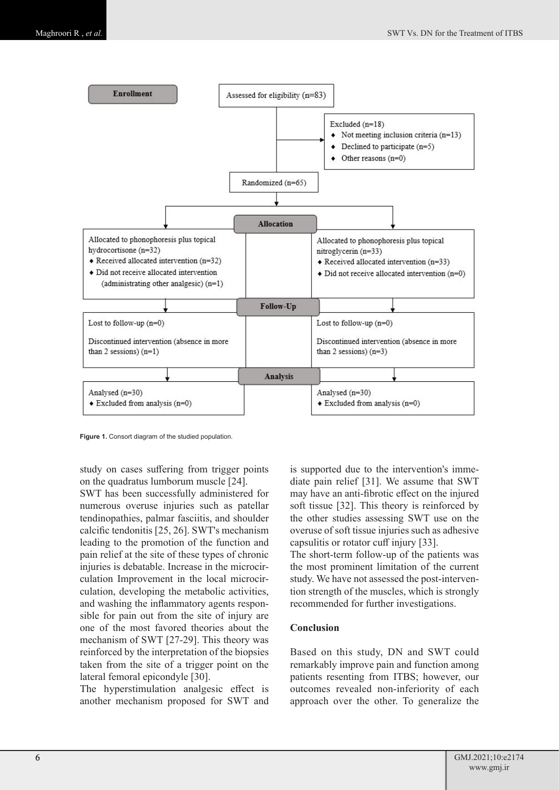

**Figure 1.** Consort diagram of the studied population.

study on cases suffering from trigger points on the quadratus lumborum muscle [24].

SWT has been successfully administered for numerous overuse injuries such as patellar tendinopathies, palmar fasciitis, and shoulder calcific tendonitis [25, 26]. SWT's mechanism leading to the promotion of the function and pain relief at the site of these types of chronic injuries is debatable. Increase in the microcirculation Improvement in the local microcirculation, developing the metabolic activities, and washing the inflammatory agents responsible for pain out from the site of injury are one of the most favored theories about the mechanism of SWT [27-29]. This theory was reinforced by the interpretation of the biopsies taken from the site of a trigger point on the lateral femoral epicondyle [30].

The hyperstimulation analgesic effect is another mechanism proposed for SWT and is supported due to the intervention's immediate pain relief [31]. We assume that SWT may have an anti-fibrotic effect on the injured soft tissue [32]. This theory is reinforced by the other studies assessing SWT use on the overuse of soft tissue injuries such as adhesive capsulitis or rotator cuff injury [33].

The short-term follow-up of the patients was the most prominent limitation of the current study. We have not assessed the post-intervention strength of the muscles, which is strongly recommended for further investigations.

## **Conclusion**

Based on this study, DN and SWT could remarkably improve pain and function among patients resenting from ITBS; however, our outcomes revealed non-inferiority of each approach over the other. To generalize the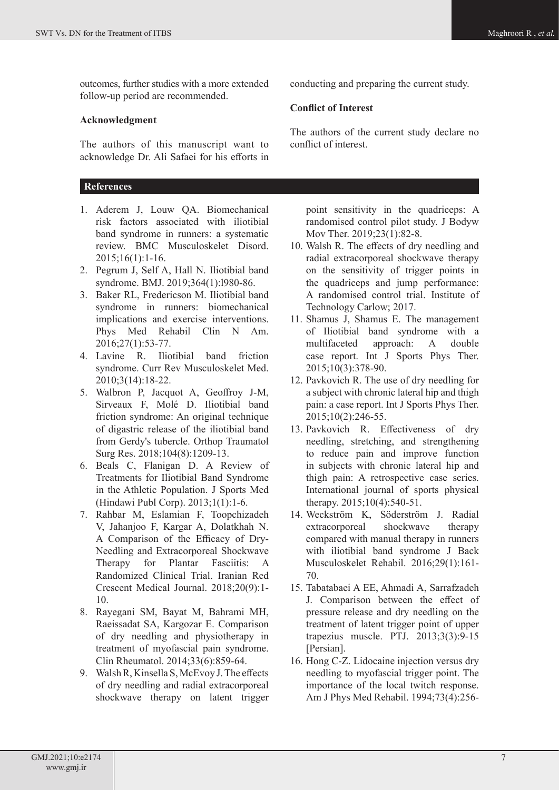outcomes, further studies with a more extended follow-up period are recommended.

## **Acknowledgment**

The authors of this manuscript want to acknowledge Dr. Ali Safaei for his efforts in

## **References**

- 1. Aderem J, Louw QA. Biomechanical risk factors associated with iliotibial band syndrome in runners: a systematic review. BMC Musculoskelet Disord. 2015;16(1):1-16.
- 2. Pegrum J, Self A, Hall N. Iliotibial band syndrome. BMJ. 2019;364(1):l980-86.
- 3. Baker RL, Fredericson M. Iliotibial band syndrome in runners: biomechanical implications and exercise interventions. Phys Med Rehabil Clin N Am. 2016;27(1):53-77.
- 4. Lavine R. Iliotibial band friction syndrome. Curr Rev Musculoskelet Med. 2010;3(14):18-22.
- 5. Walbron P, Jacquot A, Geoffroy J-M, Sirveaux F, Molé D. Iliotibial band friction syndrome: An original technique of digastric release of the iliotibial band from Gerdy's tubercle. Orthop Traumatol Surg Res. 2018;104(8):1209-13.
- 6. Beals C, Flanigan D. A Review of Treatments for Iliotibial Band Syndrome in the Athletic Population. J Sports Med (Hindawi Publ Corp). 2013;1(1):1-6.
- 7. Rahbar M, Eslamian F, Toopchizadeh V, Jahanjoo F, Kargar A, Dolatkhah N. A Comparison of the Efficacy of Dry-Needling and Extracorporeal Shockwave Therapy for Plantar Fasciitis: A Randomized Clinical Trial. Iranian Red Crescent Medical Journal. 2018;20(9):1- 10.
- 8. Rayegani SM, Bayat M, Bahrami MH, Raeissadat SA, Kargozar E. Comparison of dry needling and physiotherapy in treatment of myofascial pain syndrome. Clin Rheumatol. 2014;33(6):859-64.
- 9. Walsh R, Kinsella S, McEvoy J. The effects of dry needling and radial extracorporeal shockwave therapy on latent trigger

conducting and preparing the current study.

# **Conflict of Interest**

The authors of the current study declare no conflict of interest.

point sensitivity in the quadriceps: A randomised control pilot study. J Bodyw Mov Ther. 2019:23(1):82-8.

- 10. Walsh R. The effects of dry needling and radial extracorporeal shockwave therapy on the sensitivity of trigger points in the quadriceps and jump performance: A randomised control trial. Institute of Technology Carlow; 2017.
- 11. Shamus J, Shamus E. The management of Iliotibial band syndrome with a multifaceted approach: A double case report. Int J Sports Phys Ther. 2015;10(3):378-90.
- 12. Pavkovich R. The use of dry needling for a subject with chronic lateral hip and thigh pain: a case report. Int J Sports Phys Ther. 2015;10(2):246-55.
- 13. Pavkovich R. Effectiveness of dry needling, stretching, and strengthening to reduce pain and improve function in subjects with chronic lateral hip and thigh pain: A retrospective case series. International journal of sports physical therapy. 2015;10(4):540-51.
- 14. Weckström K, Söderström J. Radial extracorporeal shockwave therapy compared with manual therapy in runners with iliotibial band syndrome J Back Musculoskelet Rehabil. 2016;29(1):161- 70.
- 15. Tabatabaei A EE, Ahmadi A, Sarrafzadeh J. Comparison between the effect of pressure release and dry needling on the treatment of latent trigger point of upper trapezius muscle. PTJ. 2013;3(3):9-15 [Persian].
- 16. Hong C-Z. Lidocaine injection versus dry needling to myofascial trigger point. The importance of the local twitch response. Am J Phys Med Rehabil. 1994;73(4):256-